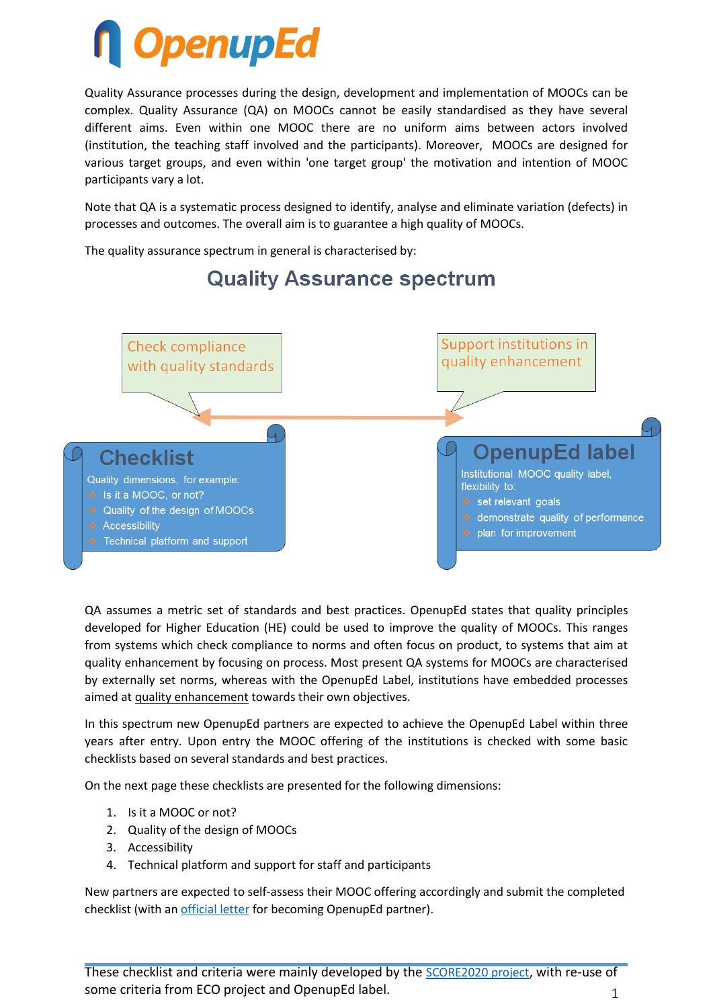# **OpenupEd**

Quality Assurance processes during the design, development and implementation of MOOCs can be complex. Quality Assurance (QA) on MOOCs cannot be easily standardised as they have several different aims. Even within one MOOC there are no uniform aims between actors involved (institution, the teaching staff involved and the participants). Moreover, MOOCs are designed for various target groups, and even within 'one target group' the motivation and intention of MOOC participants vary a lot.

Note that QA is a systematic process designed to identify, analyse and eliminate variation (defects) in processes and outcomes. The overall aim is to guarantee a high quality of MOOCs.

The quality assurance spectrum in general is characterised by:



# **Quality Assurance spectrum**

QA assumes a metric set of standards and best practices. OpenupEd states that quality principles developed for Higher Education (HE) could be used to improve the quality of MOOCs. This ranges from systems which check compliance to norms and often focus on product, to systems that aim at quality enhancement by focusing on process. Most present QA systems for MOOCs are characterised by externally set norms, whereas with the OpenupEd Label, institutions have embedded processes aimed at quality enhancement towards their own objectives.

In this spectrum new OpenupEd partners are expected to achieve the OpenupEd Label within three years after entry. Upon entry the MOOC offering of the institutions is checked with some basic checklists based on several standards and best practices.

On the next page these checklists are presented for the following dimensions:

- 1. Is it a MOOC or not?
- 2. Quality of the design of MOOCs
- 3. Accessibility
- 4. Technical platform and support for staff and participants

New partners are expected to self-assess their MOOC offering accordingly and submit the completed checklist (with an [official letter](http://www.openuped.eu/images/docs/Template_letter_OpenupEd_partnership.doc) for becoming OpenupEd partner).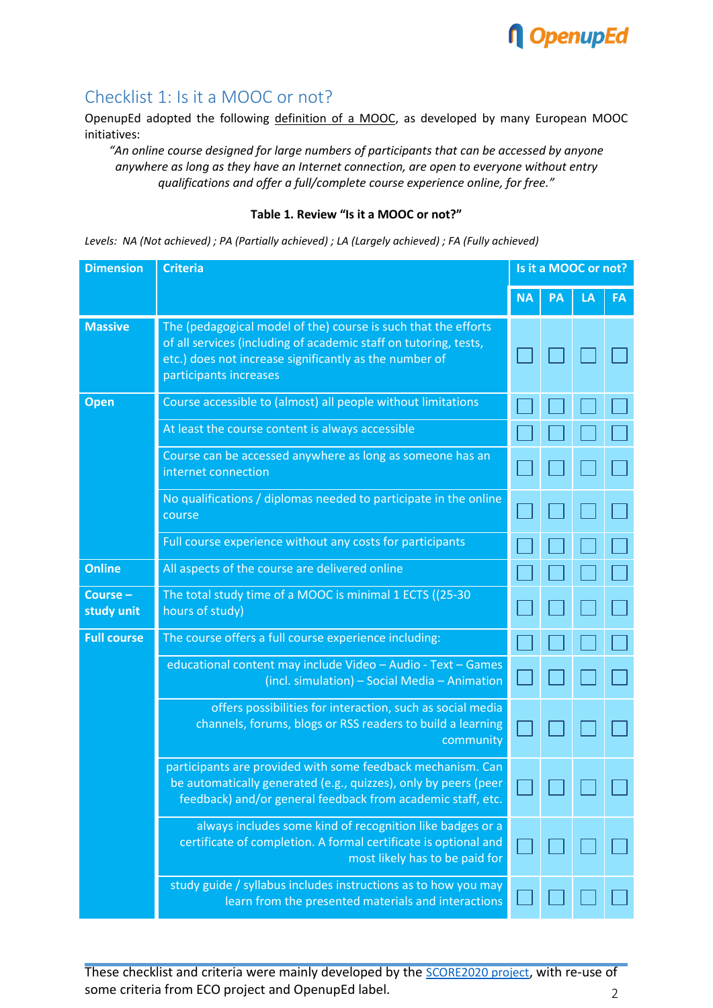

### Checklist 1: Is it a MOOC or not?

OpenupEd adopted the following definition of a MOOC, as developed by many European MOOC initiatives:

*"An online course designed for large numbers of participants that can be accessed by anyone anywhere as long as they have an Internet connection, are open to everyone without entry qualifications and offer a full/complete course experience online, for free."*

#### **Table 1. Review "Is it a MOOC or not?"**

*Levels: NA (Not achieved) ; PA (Partially achieved) ; LA (Largely achieved) ; FA (Fully achieved)*

| <b>Dimension</b>       | <b>Criteria</b>                                                                                                                                                                                                        | Is it a MOOC or not? |    |    |           |  |
|------------------------|------------------------------------------------------------------------------------------------------------------------------------------------------------------------------------------------------------------------|----------------------|----|----|-----------|--|
|                        |                                                                                                                                                                                                                        | <b>NA</b>            | PA | LA | <b>FA</b> |  |
| <b>Massive</b>         | The (pedagogical model of the) course is such that the efforts<br>of all services (including of academic staff on tutoring, tests,<br>etc.) does not increase significantly as the number of<br>participants increases |                      |    |    |           |  |
| <b>Open</b>            | Course accessible to (almost) all people without limitations                                                                                                                                                           |                      |    |    |           |  |
|                        | At least the course content is always accessible                                                                                                                                                                       |                      |    |    |           |  |
|                        | Course can be accessed anywhere as long as someone has an<br>internet connection                                                                                                                                       |                      |    |    |           |  |
|                        | No qualifications / diplomas needed to participate in the online<br>course                                                                                                                                             |                      |    |    |           |  |
|                        | Full course experience without any costs for participants                                                                                                                                                              |                      |    |    |           |  |
| <b>Online</b>          | All aspects of the course are delivered online                                                                                                                                                                         |                      |    |    |           |  |
| Course -<br>study unit | The total study time of a MOOC is minimal 1 ECTS ((25-30<br>hours of study)                                                                                                                                            |                      |    |    |           |  |
| <b>Full course</b>     | The course offers a full course experience including:                                                                                                                                                                  |                      |    |    |           |  |
|                        | educational content may include Video - Audio - Text - Games<br>(incl. simulation) - Social Media - Animation                                                                                                          |                      |    |    |           |  |
|                        | offers possibilities for interaction, such as social media<br>channels, forums, blogs or RSS readers to build a learning<br>community                                                                                  |                      |    |    |           |  |
|                        | participants are provided with some feedback mechanism. Can<br>be automatically generated (e.g., quizzes), only by peers (peer<br>feedback) and/or general feedback from academic staff, etc.                          |                      |    |    |           |  |
|                        | always includes some kind of recognition like badges or a<br>certificate of completion. A formal certificate is optional and<br>most likely has to be paid for                                                         |                      |    |    |           |  |
|                        | study guide / syllabus includes instructions as to how you may<br>learn from the presented materials and interactions                                                                                                  |                      |    |    |           |  |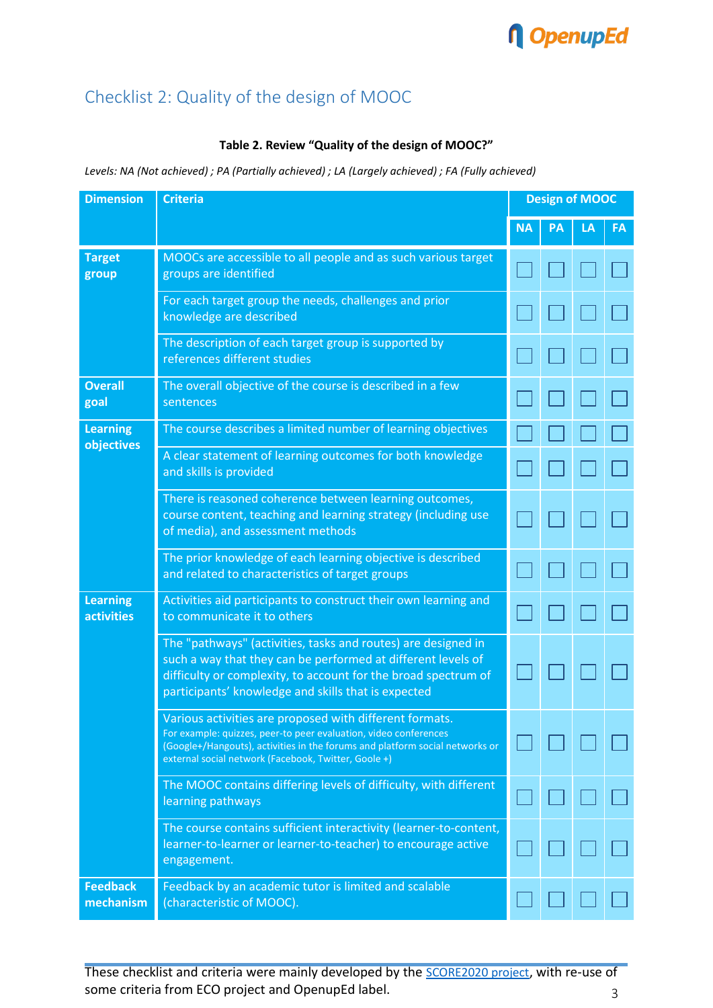# **n** OpenupEd

## Checklist 2: Quality of the design of MOOC

#### **Table 2. Review "Quality of the design of MOOC?"**

*Levels: NA (Not achieved) ; PA (Partially achieved) ; LA (Largely achieved) ; FA (Fully achieved)*

| <b>Dimension</b>                     | <b>Criteria</b>                                                                                                                                                                                                                                                     | <b>Design of MOOC</b> |    |    |    |  |
|--------------------------------------|---------------------------------------------------------------------------------------------------------------------------------------------------------------------------------------------------------------------------------------------------------------------|-----------------------|----|----|----|--|
|                                      |                                                                                                                                                                                                                                                                     | <b>NA</b>             | РΑ | LA | FA |  |
| <b>Target</b><br>group               | MOOCs are accessible to all people and as such various target<br>groups are identified                                                                                                                                                                              |                       |    |    |    |  |
|                                      | For each target group the needs, challenges and prior<br>knowledge are described                                                                                                                                                                                    |                       |    |    |    |  |
|                                      | The description of each target group is supported by<br>references different studies                                                                                                                                                                                |                       |    |    |    |  |
| <b>Overall</b><br>goal               | The overall objective of the course is described in a few<br>sentences                                                                                                                                                                                              |                       |    |    |    |  |
| <b>Learning</b><br>objectives        | The course describes a limited number of learning objectives                                                                                                                                                                                                        |                       |    |    |    |  |
|                                      | A clear statement of learning outcomes for both knowledge<br>and skills is provided                                                                                                                                                                                 |                       |    |    |    |  |
|                                      | There is reasoned coherence between learning outcomes,<br>course content, teaching and learning strategy (including use<br>of media), and assessment methods                                                                                                        |                       |    |    |    |  |
|                                      | The prior knowledge of each learning objective is described<br>and related to characteristics of target groups                                                                                                                                                      |                       |    |    |    |  |
| <b>Learning</b><br><b>activities</b> | Activities aid participants to construct their own learning and<br>to communicate it to others                                                                                                                                                                      |                       |    |    |    |  |
|                                      | The "pathways" (activities, tasks and routes) are designed in<br>such a way that they can be performed at different levels of<br>difficulty or complexity, to account for the broad spectrum of<br>participants' knowledge and skills that is expected              |                       |    |    |    |  |
|                                      | Various activities are proposed with different formats.<br>For example: quizzes, peer-to peer evaluation, video conferences<br>(Google+/Hangouts), activities in the forums and platform social networks or<br>external social network (Facebook, Twitter, Goole +) |                       |    |    |    |  |
|                                      | The MOOC contains differing levels of difficulty, with different<br>learning pathways                                                                                                                                                                               |                       |    |    |    |  |
|                                      | The course contains sufficient interactivity (learner-to-content,<br>learner-to-learner or learner-to-teacher) to encourage active<br>engagement.                                                                                                                   |                       |    |    |    |  |
| <b>Feedback</b><br>mechanism         | Feedback by an academic tutor is limited and scalable<br>(characteristic of MOOC).                                                                                                                                                                                  |                       |    |    |    |  |

These checklist and criteria were mainly developed by the [SCORE2020 project](http://score2020.eadtu.eu/), with re-use of some criteria from ECO project and OpenupEd label.  $\frac{3}{3}$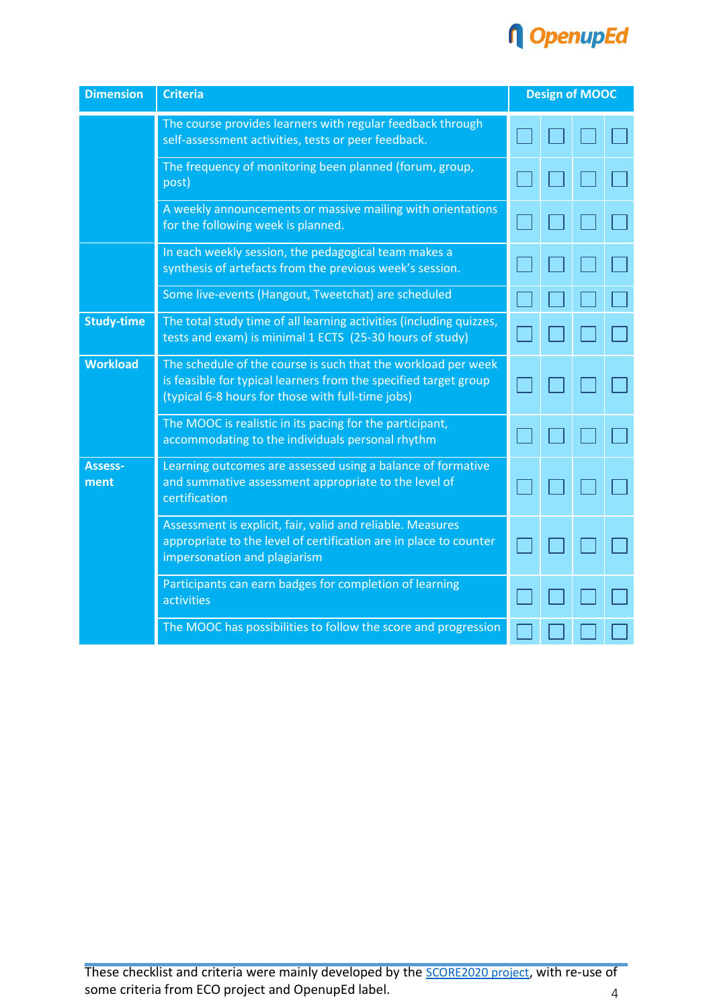

| <b>Dimension</b>       | <b>Criteria</b>                                                                                                                                                                        | <b>Design of MOOC</b> |  |  |  |
|------------------------|----------------------------------------------------------------------------------------------------------------------------------------------------------------------------------------|-----------------------|--|--|--|
|                        | The course provides learners with regular feedback through<br>self-assessment activities, tests or peer feedback.                                                                      |                       |  |  |  |
|                        | The frequency of monitoring been planned (forum, group,<br>post)                                                                                                                       |                       |  |  |  |
|                        | A weekly announcements or massive mailing with orientations<br>for the following week is planned.                                                                                      |                       |  |  |  |
|                        | In each weekly session, the pedagogical team makes a<br>synthesis of artefacts from the previous week's session.                                                                       |                       |  |  |  |
|                        | Some live-events (Hangout, Tweetchat) are scheduled                                                                                                                                    |                       |  |  |  |
| <b>Study-time</b>      | The total study time of all learning activities (including quizzes,<br>tests and exam) is minimal 1 ECTS (25-30 hours of study)                                                        |                       |  |  |  |
| <b>Workload</b>        | The schedule of the course is such that the workload per week<br>is feasible for typical learners from the specified target group<br>(typical 6-8 hours for those with full-time jobs) |                       |  |  |  |
|                        | The MOOC is realistic in its pacing for the participant,<br>accommodating to the individuals personal rhythm                                                                           |                       |  |  |  |
| <b>Assess-</b><br>ment | Learning outcomes are assessed using a balance of formative<br>and summative assessment appropriate to the level of<br>certification                                                   |                       |  |  |  |
|                        | Assessment is explicit, fair, valid and reliable. Measures<br>appropriate to the level of certification are in place to counter<br>impersonation and plagiarism                        |                       |  |  |  |
|                        | Participants can earn badges for completion of learning<br>activities                                                                                                                  |                       |  |  |  |
|                        | The MOOC has possibilities to follow the score and progression                                                                                                                         |                       |  |  |  |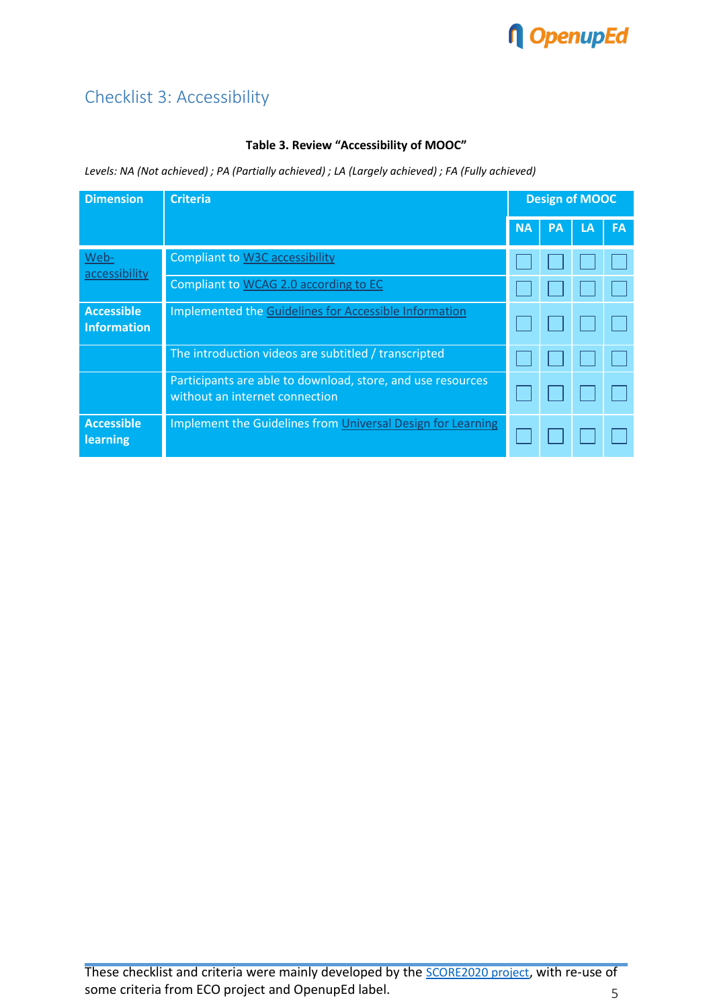# **n** OpenupEd

## Checklist 3: Accessibility

#### **Table 3. Review "Accessibility of MOOC"**

*Levels: NA (Not achieved) ; PA (Partially achieved) ; LA (Largely achieved) ; FA (Fully achieved)*

| <b>Dimension</b>                        | <b>Criteria</b>                                                                               | <b>Design of MOOC</b> |           |    |           |
|-----------------------------------------|-----------------------------------------------------------------------------------------------|-----------------------|-----------|----|-----------|
|                                         |                                                                                               | <b>NA</b>             | <b>PA</b> | LA | <b>FA</b> |
| Web-<br>accessibility                   | <b>Compliant to W3C accessibility</b>                                                         |                       |           |    |           |
|                                         | Compliant to WCAG 2.0 according to EC                                                         |                       |           |    |           |
| <b>Accessible</b><br><b>Information</b> | Implemented the Guidelines for Accessible Information                                         |                       |           |    |           |
|                                         | The introduction videos are subtitled / transcripted                                          |                       |           |    |           |
|                                         | Participants are able to download, store, and use resources<br>without an internet connection |                       |           |    |           |
| <b>Accessible</b><br>learning           | Implement the Guidelines from Universal Design for Learning                                   |                       |           |    |           |